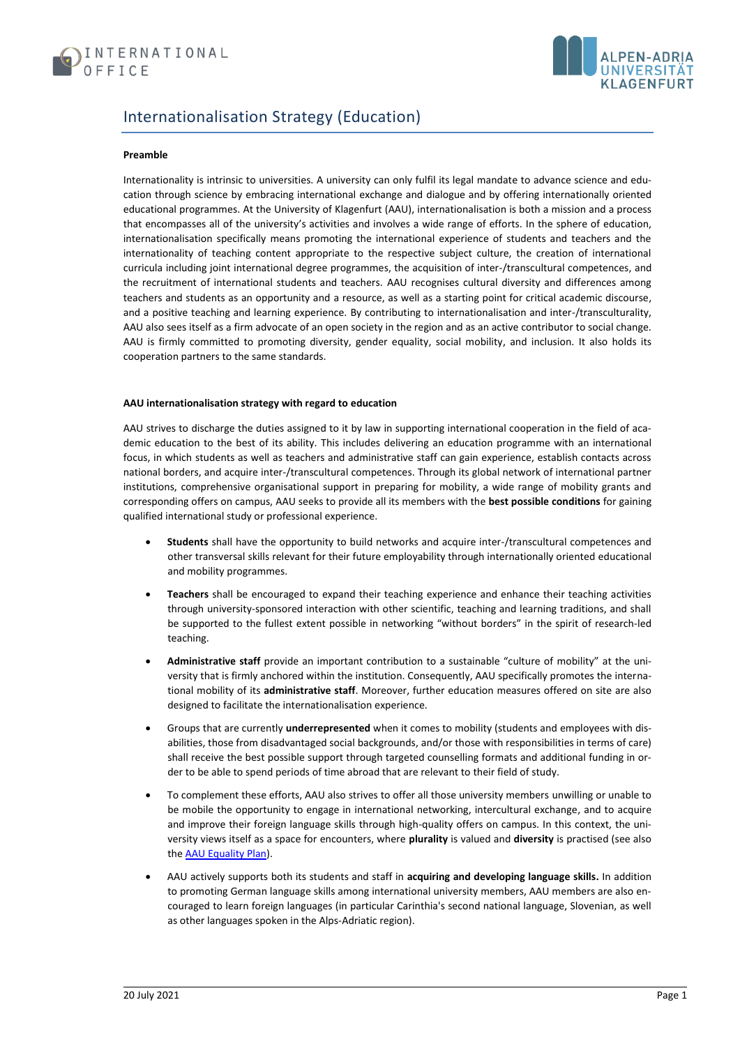



# Internationalisation Strategy (Education)

## **Preamble**

Internationality is intrinsic to universities. A university can only fulfil its legal mandate to advance science and education through science by embracing international exchange and dialogue and by offering internationally oriented educational programmes. At the University of Klagenfurt (AAU), internationalisation is both a mission and a process that encompasses all of the university's activities and involves a wide range of efforts. In the sphere of education, internationalisation specifically means promoting the international experience of students and teachers and the internationality of teaching content appropriate to the respective subject culture, the creation of international curricula including joint international degree programmes, the acquisition of inter-/transcultural competences, and the recruitment of international students and teachers. AAU recognises cultural diversity and differences among teachers and students as an opportunity and a resource, as well as a starting point for critical academic discourse, and a positive teaching and learning experience. By contributing to internationalisation and inter-/transculturality, AAU also sees itself as a firm advocate of an open society in the region and as an active contributor to social change. AAU is firmly committed to promoting diversity, gender equality, social mobility, and inclusion. It also holds its cooperation partners to the same standards.

## **AAU internationalisation strategy with regard to education**

AAU strives to discharge the duties assigned to it by law in supporting international cooperation in the field of academic education to the best of its ability. This includes delivering an education programme with an international focus, in which students as well as teachers and administrative staff can gain experience, establish contacts across national borders, and acquire inter-/transcultural competences. Through its global network of international partner institutions, comprehensive organisational support in preparing for mobility, a wide range of mobility grants and corresponding offers on campus, AAU seeks to provide all its members with the **best possible conditions** for gaining qualified international study or professional experience.

- **Students** shall have the opportunity to build networks and acquire inter-/transcultural competences and other transversal skills relevant for their future employability through internationally oriented educational and mobility programmes.
- **Teachers** shall be encouraged to expand their teaching experience and enhance their teaching activities through university-sponsored interaction with other scientific, teaching and learning traditions, and shall be supported to the fullest extent possible in networking "without borders" in the spirit of research-led teaching.
- **Administrative staff** provide an important contribution to a sustainable "culture of mobility" at the university that is firmly anchored within the institution. Consequently, AAU specifically promotes the international mobility of its **administrative staff**. Moreover, further education measures offered on site are also designed to facilitate the internationalisation experience.
- Groups that are currently **underrepresented** when it comes to mobility (students and employees with disabilities, those from disadvantaged social backgrounds, and/or those with responsibilities in terms of care) shall receive the best possible support through targeted counselling formats and additional funding in order to be able to spend periods of time abroad that are relevant to their field of study.
- To complement these efforts, AAU also strives to offer all those university members unwilling or unable to be mobile the opportunity to engage in international networking, intercultural exchange, and to acquire and improve their foreign language skills through high-quality offers on campus. In this context, the university views itself as a space for encounters, where **plurality** is valued and **diversity** is practised (see also the [AAU Equality Plan\)](https://www.aau.at/wp-content/uploads/2020/09/EN_Satzung-Teil-E-III-Gleichstellungsplan-der-Universit%C3%A4t-Klagenfurt.pdf).
- AAU actively supports both its students and staff in **acquiring and developing language skills.** In addition to promoting German language skills among international university members, AAU members are also encouraged to learn foreign languages (in particular Carinthia's second national language, Slovenian, as well as other languages spoken in the Alps-Adriatic region).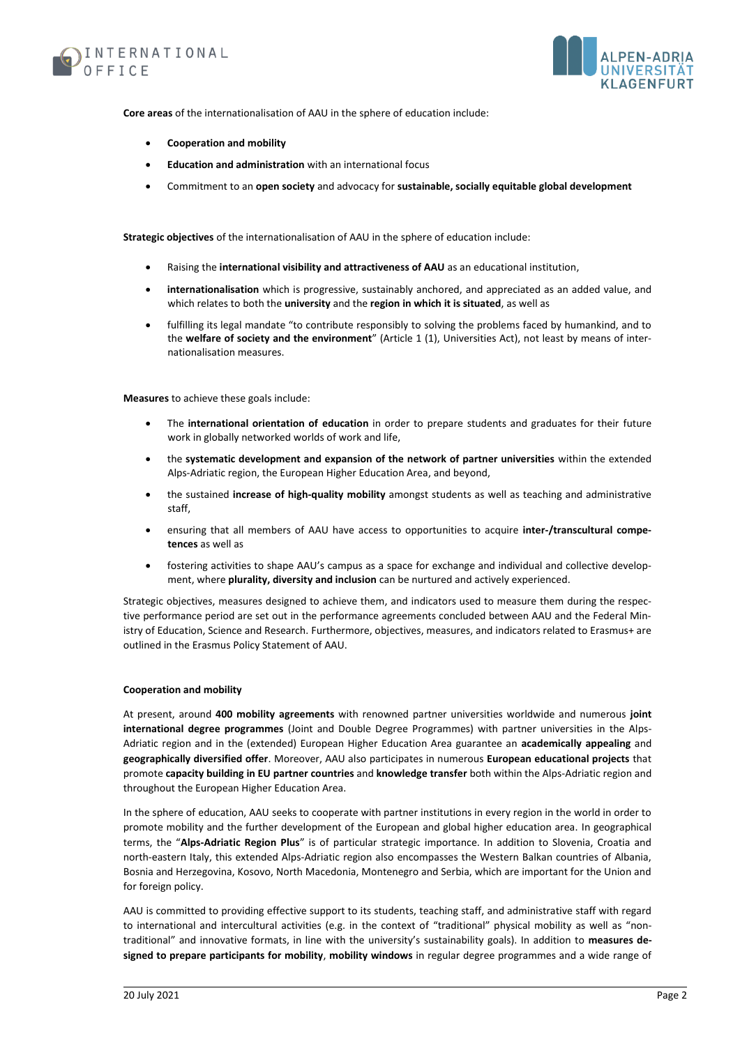



**Core areas** of the internationalisation of AAU in the sphere of education include:

- **Cooperation and mobility**
- **Education and administration** with an international focus
- Commitment to an **open society** and advocacy for **sustainable, socially equitable global development**

**Strategic objectives** of the internationalisation of AAU in the sphere of education include:

- Raising the **international visibility and attractiveness of AAU** as an educational institution,
- **internationalisation** which is progressive, sustainably anchored, and appreciated as an added value, and which relates to both the **university** and the **region in which it is situated**, as well as
- fulfilling its legal mandate "to contribute responsibly to solving the problems faced by humankind, and to the **welfare of society and the environment**" (Article 1 (1), Universities Act), not least by means of internationalisation measures.

**Measures** to achieve these goals include:

- The **international orientation of education** in order to prepare students and graduates for their future work in globally networked worlds of work and life,
- the **systematic development and expansion of the network of partner universities** within the extended Alps-Adriatic region, the European Higher Education Area, and beyond,
- the sustained **increase of high-quality mobility** amongst students as well as teaching and administrative staff,
- ensuring that all members of AAU have access to opportunities to acquire **inter-/transcultural competences** as well as
- fostering activities to shape AAU's campus as a space for exchange and individual and collective development, where **plurality, diversity and inclusion** can be nurtured and actively experienced.

Strategic objectives, measures designed to achieve them, and indicators used to measure them during the respective performance period are set out in the performance agreements concluded between AAU and the Federal Ministry of Education, Science and Research. Furthermore, objectives, measures, and indicators related to Erasmus+ are outlined in the Erasmus Policy Statement of AAU.

#### **Cooperation and mobility**

At present, around **400 mobility agreements** with renowned partner universities worldwide and numerous **joint international degree programmes** (Joint and Double Degree Programmes) with partner universities in the Alps-Adriatic region and in the (extended) European Higher Education Area guarantee an **academically appealing** and **geographically diversified offer**. Moreover, AAU also participates in numerous **European educational projects** that promote **capacity building in EU partner countries** and **knowledge transfer** both within the Alps-Adriatic region and throughout the European Higher Education Area.

In the sphere of education, AAU seeks to cooperate with partner institutions in every region in the world in order to promote mobility and the further development of the European and global higher education area. In geographical terms, the "**Alps-Adriatic Region Plus**" is of particular strategic importance. In addition to Slovenia, Croatia and north-eastern Italy, this extended Alps-Adriatic region also encompasses the Western Balkan countries of Albania, Bosnia and Herzegovina, Kosovo, North Macedonia, Montenegro and Serbia, which are important for the Union and for foreign policy.

AAU is committed to providing effective support to its students, teaching staff, and administrative staff with regard to international and intercultural activities (e.g. in the context of "traditional" physical mobility as well as "nontraditional" and innovative formats, in line with the university's sustainability goals). In addition to **measures designed to prepare participants for mobility**, **mobility windows** in regular degree programmes and a wide range of